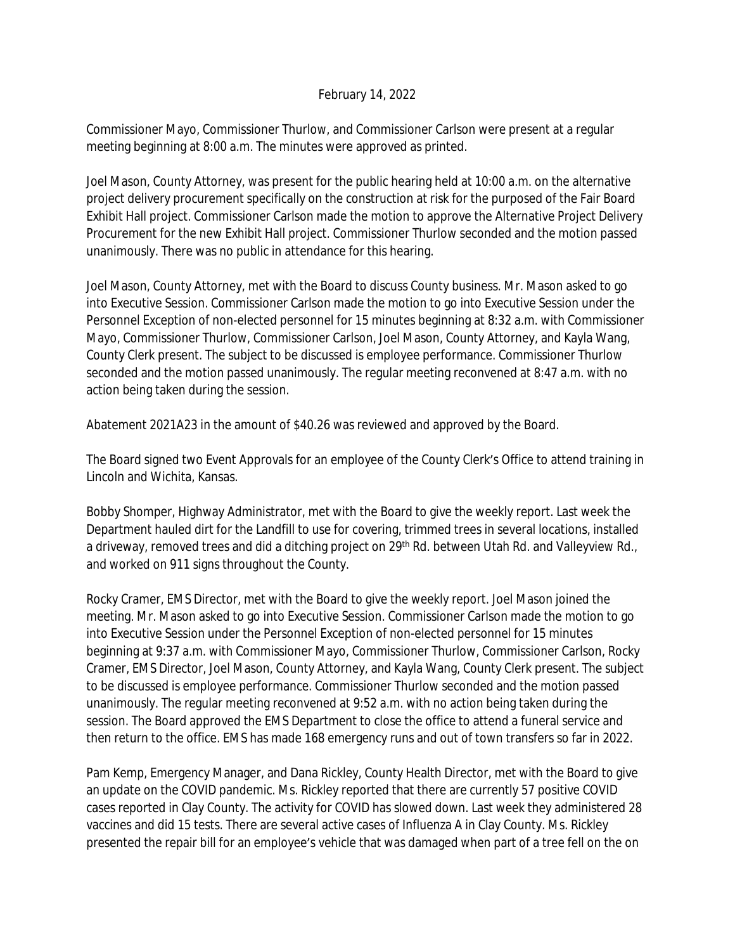## February 14, 2022

Commissioner Mayo, Commissioner Thurlow, and Commissioner Carlson were present at a regular meeting beginning at 8:00 a.m. The minutes were approved as printed.

Joel Mason, County Attorney, was present for the public hearing held at 10:00 a.m. on the alternative project delivery procurement specifically on the construction at risk for the purposed of the Fair Board Exhibit Hall project. Commissioner Carlson made the motion to approve the Alternative Project Delivery Procurement for the new Exhibit Hall project. Commissioner Thurlow seconded and the motion passed unanimously. There was no public in attendance for this hearing.

Joel Mason, County Attorney, met with the Board to discuss County business. Mr. Mason asked to go into Executive Session. Commissioner Carlson made the motion to go into Executive Session under the Personnel Exception of non-elected personnel for 15 minutes beginning at 8:32 a.m. with Commissioner Mayo, Commissioner Thurlow, Commissioner Carlson, Joel Mason, County Attorney, and Kayla Wang, County Clerk present. The subject to be discussed is employee performance. Commissioner Thurlow seconded and the motion passed unanimously. The regular meeting reconvened at 8:47 a.m. with no action being taken during the session.

Abatement 2021A23 in the amount of \$40.26 was reviewed and approved by the Board.

The Board signed two Event Approvals for an employee of the County Clerk's Office to attend training in Lincoln and Wichita, Kansas.

Bobby Shomper, Highway Administrator, met with the Board to give the weekly report. Last week the Department hauled dirt for the Landfill to use for covering, trimmed trees in several locations, installed a driveway, removed trees and did a ditching project on 29<sup>th</sup> Rd. between Utah Rd. and Valleyview Rd., and worked on 911 signs throughout the County.

Rocky Cramer, EMS Director, met with the Board to give the weekly report. Joel Mason joined the meeting. Mr. Mason asked to go into Executive Session. Commissioner Carlson made the motion to go into Executive Session under the Personnel Exception of non-elected personnel for 15 minutes beginning at 9:37 a.m. with Commissioner Mayo, Commissioner Thurlow, Commissioner Carlson, Rocky Cramer, EMS Director, Joel Mason, County Attorney, and Kayla Wang, County Clerk present. The subject to be discussed is employee performance. Commissioner Thurlow seconded and the motion passed unanimously. The regular meeting reconvened at 9:52 a.m. with no action being taken during the session. The Board approved the EMS Department to close the office to attend a funeral service and then return to the office. EMS has made 168 emergency runs and out of town transfers so far in 2022.

Pam Kemp, Emergency Manager, and Dana Rickley, County Health Director, met with the Board to give an update on the COVID pandemic. Ms. Rickley reported that there are currently 57 positive COVID cases reported in Clay County. The activity for COVID has slowed down. Last week they administered 28 vaccines and did 15 tests. There are several active cases of Influenza A in Clay County. Ms. Rickley presented the repair bill for an employee's vehicle that was damaged when part of a tree fell on the on